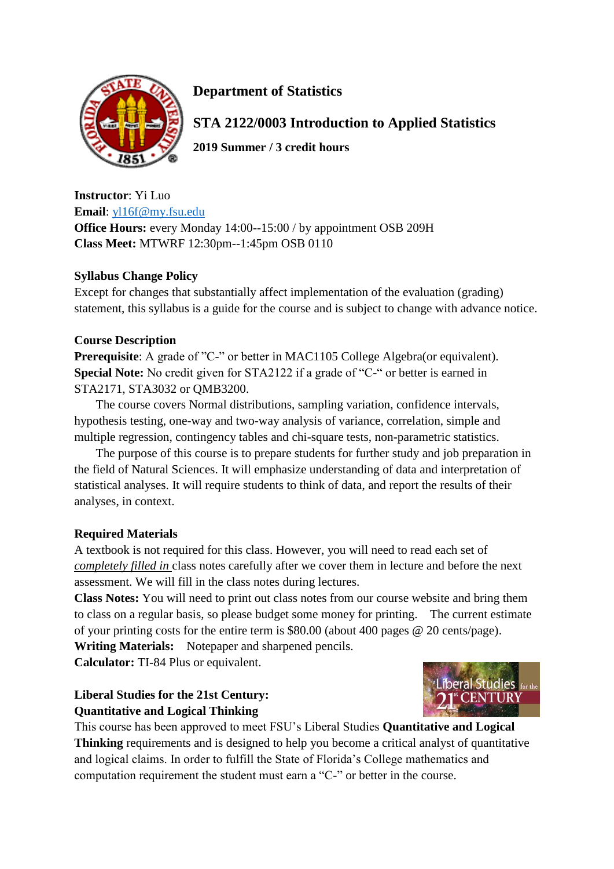

# **Department of Statistics**

**STA 2122/0003 Introduction to Applied Statistics** 

**2019 Summer / 3 credit hours**

**Instructor**: Yi Luo **Email**: [yl16f@my.fsu.edu](mailto:yl16f@my.fsu.edu) **Office Hours:** every Monday 14:00--15:00 / by appointment OSB 209H **Class Meet:** MTWRF 12:30pm--1:45pm OSB 0110

# **Syllabus Change Policy**

Except for changes that substantially affect implementation of the evaluation (grading) statement, this syllabus is a guide for the course and is subject to change with advance notice.

# **Course Description**

**Prerequisite**: A grade of "C-" or better in MAC1105 College Algebra(or equivalent). **Special Note:** No credit given for STA2122 if a grade of "C-" or better is earned in STA2171, STA3032 or QMB3200.

The course covers Normal distributions, sampling variation, confidence intervals, hypothesis testing, one-way and two-way analysis of variance, correlation, simple and multiple regression, contingency tables and chi-square tests, non-parametric statistics.

The purpose of this course is to prepare students for further study and job preparation in the field of Natural Sciences. It will emphasize understanding of data and interpretation of statistical analyses. It will require students to think of data, and report the results of their analyses, in context.

# **Required Materials**

A textbook is not required for this class. However, you will need to read each set of *completely filled in* class notes carefully after we cover them in lecture and before the next assessment. We will fill in the class notes during lectures.

**Class Notes:** You will need to print out class notes from our course website and bring them to class on a regular basis, so please budget some money for printing. The current estimate of your printing costs for the entire term is \$80.00 (about 400 pages @ 20 cents/page).

**Writing Materials:** Notepaper and sharpened pencils.

**Calculator:** TI-84 Plus or equivalent.

# **Liberal Studies for the 21st Century: Quantitative and Logical Thinking**



This course has been approved to meet FSU's Liberal Studies **Quantitative and Logical Thinking** requirements and is designed to help you become a critical analyst of quantitative and logical claims. In order to fulfill the State of Florida's College mathematics and computation requirement the student must earn a "C-" or better in the course.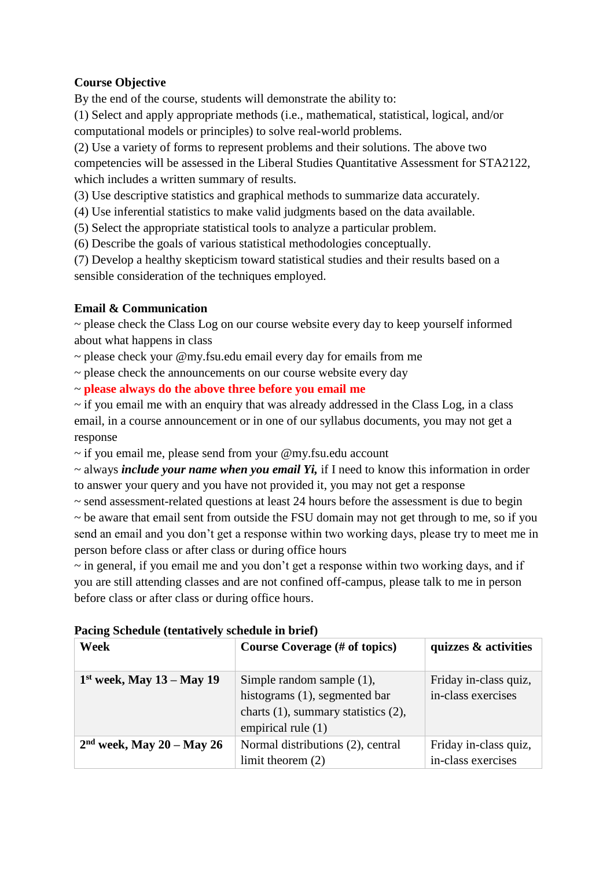# **Course Objective**

By the end of the course, students will demonstrate the ability to:

(1) Select and apply appropriate methods (i.e., mathematical, statistical, logical, and/or computational models or principles) to solve real-world problems.

(2) Use a variety of forms to represent problems and their solutions. The above two competencies will be assessed in the Liberal Studies Quantitative Assessment for STA2122, which includes a written summary of results.

(3) Use descriptive statistics and graphical methods to summarize data accurately.

(4) Use inferential statistics to make valid judgments based on the data available.

(5) Select the appropriate statistical tools to analyze a particular problem.

(6) Describe the goals of various statistical methodologies conceptually.

(7) Develop a healthy skepticism toward statistical studies and their results based on a sensible consideration of the techniques employed.

# **Email & Communication**

 $\sim$  please check the Class Log on our course website every day to keep yourself informed about what happens in class

~ please check your @my.fsu.edu email every day for emails from me

 $\sim$  please check the announcements on our course website every day

~ **please always do the above three before you email me**

 $\sim$  if you email me with an enquiry that was already addressed in the Class Log, in a class email, in a course announcement or in one of our syllabus documents, you may not get a response

~ if you email me, please send from your @my.fsu.edu account

~ always *include your name when you email Yi,* if I need to know this information in order to answer your query and you have not provided it, you may not get a response

~ send assessment-related questions at least 24 hours before the assessment is due to begin

 $\sim$  be aware that email sent from outside the FSU domain may not get through to me, so if you send an email and you don't get a response within two working days, please try to meet me in person before class or after class or during office hours

~ in general, if you email me and you don't get a response within two working days, and if you are still attending classes and are not confined off-campus, please talk to me in person before class or after class or during office hours.

| Week                        | Course Coverage (# of topics)                                                                                                      | quizzes & activities                        |  |
|-----------------------------|------------------------------------------------------------------------------------------------------------------------------------|---------------------------------------------|--|
| $1st$ week, May 13 – May 19 | Simple random sample $(1)$ ,<br>histograms (1), segmented bar<br>charts $(1)$ , summary statistics $(2)$ ,<br>empirical rule $(1)$ | Friday in-class quiz,<br>in-class exercises |  |
| $2nd$ week, May 20 – May 26 | Normal distributions (2), central<br>limit theorem $(2)$                                                                           | Friday in-class quiz,<br>in-class exercises |  |

#### **Pacing Schedule (tentatively schedule in brief)**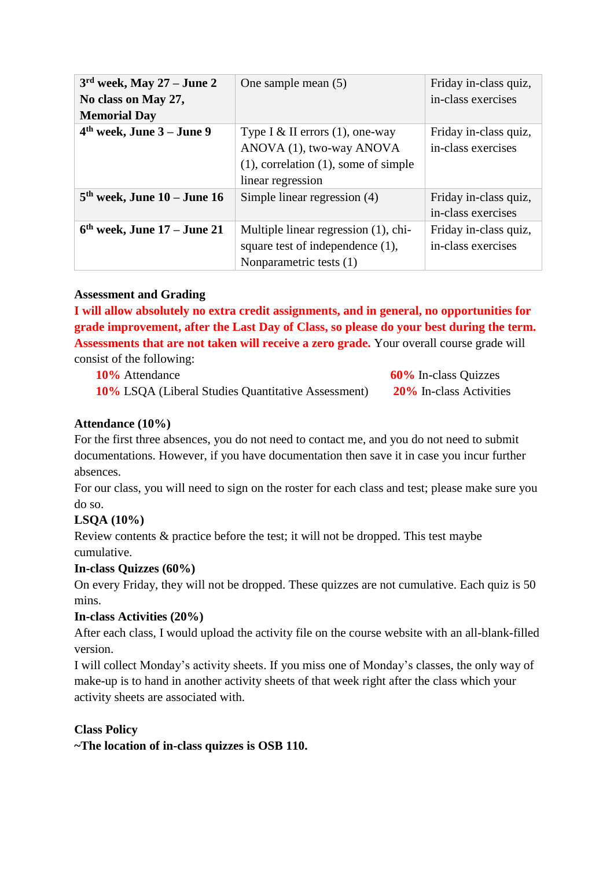| $3rd$ week, May 27 – June 2<br>No class on May 27,<br><b>Memorial Day</b> | One sample mean (5)                                                                                                               | Friday in-class quiz,<br>in-class exercises |
|---------------------------------------------------------------------------|-----------------------------------------------------------------------------------------------------------------------------------|---------------------------------------------|
| $4th$ week, June 3 – June 9                                               | Type I & II errors $(1)$ , one-way<br>ANOVA (1), two-way ANOVA<br>$(1)$ , correlation $(1)$ , some of simple<br>linear regression | Friday in-class quiz,<br>in-class exercises |
| $5th$ week, June $10$ – June $16$                                         | Simple linear regression (4)                                                                                                      | Friday in-class quiz,<br>in-class exercises |
| $6th$ week, June 17 – June 21                                             | Multiple linear regression (1), chi-<br>square test of independence (1),<br>Nonparametric tests (1)                               | Friday in-class quiz,<br>in-class exercises |

# **Assessment and Grading**

**I will allow absolutely no extra credit assignments, and in general, no opportunities for grade improvement, after the Last Day of Class, so please do your best during the term. Assessments that are not taken will receive a zero grade.** Your overall course grade will consist of the following:

**10%** Attendance **60%** In-class Quizzes **10%** LSQA (Liberal Studies Quantitative Assessment) **20%** In-class Activities

# **Attendance (10%)**

For the first three absences, you do not need to contact me, and you do not need to submit documentations. However, if you have documentation then save it in case you incur further absences.

For our class, you will need to sign on the roster for each class and test; please make sure you do so.

# **LSQA (10%)**

Review contents & practice before the test; it will not be dropped. This test maybe cumulative.

# **In-class Quizzes (60%)**

On every Friday, they will not be dropped. These quizzes are not cumulative. Each quiz is 50 mins.

# **In-class Activities (20%)**

After each class, I would upload the activity file on the course website with an all-blank-filled version.

I will collect Monday's activity sheets. If you miss one of Monday's classes, the only way of make-up is to hand in another activity sheets of that week right after the class which your activity sheets are associated with.

# **Class Policy**

**~The location of in-class quizzes is OSB 110.**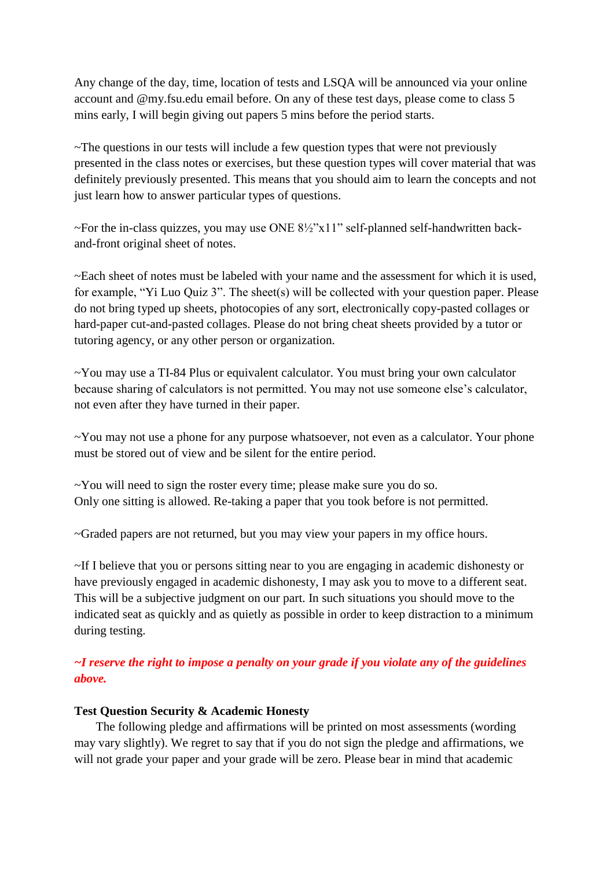Any change of the day, time, location of tests and LSQA will be announced via your online account and @my.fsu.edu email before. On any of these test days, please come to class 5 mins early, I will begin giving out papers 5 mins before the period starts.

~The questions in our tests will include a few question types that were not previously presented in the class notes or exercises, but these question types will cover material that was definitely previously presented. This means that you should aim to learn the concepts and not just learn how to answer particular types of questions.

~For the in-class quizzes, you may use ONE 8½"x11" self-planned self-handwritten backand-front original sheet of notes.

~Each sheet of notes must be labeled with your name and the assessment for which it is used, for example, "Yi Luo Quiz 3". The sheet(s) will be collected with your question paper. Please do not bring typed up sheets, photocopies of any sort, electronically copy-pasted collages or hard-paper cut-and-pasted collages. Please do not bring cheat sheets provided by a tutor or tutoring agency, or any other person or organization.

~You may use a TI-84 Plus or equivalent calculator. You must bring your own calculator because sharing of calculators is not permitted. You may not use someone else's calculator, not even after they have turned in their paper.

~You may not use a phone for any purpose whatsoever, not even as a calculator. Your phone must be stored out of view and be silent for the entire period.

~You will need to sign the roster every time; please make sure you do so. Only one sitting is allowed. Re-taking a paper that you took before is not permitted.

~Graded papers are not returned, but you may view your papers in my office hours.

~If I believe that you or persons sitting near to you are engaging in academic dishonesty or have previously engaged in academic dishonesty, I may ask you to move to a different seat. This will be a subjective judgment on our part. In such situations you should move to the indicated seat as quickly and as quietly as possible in order to keep distraction to a minimum during testing.

*~I reserve the right to impose a penalty on your grade if you violate any of the guidelines above.*

#### **Test Question Security & Academic Honesty**

The following pledge and affirmations will be printed on most assessments (wording may vary slightly). We regret to say that if you do not sign the pledge and affirmations, we will not grade your paper and your grade will be zero. Please bear in mind that academic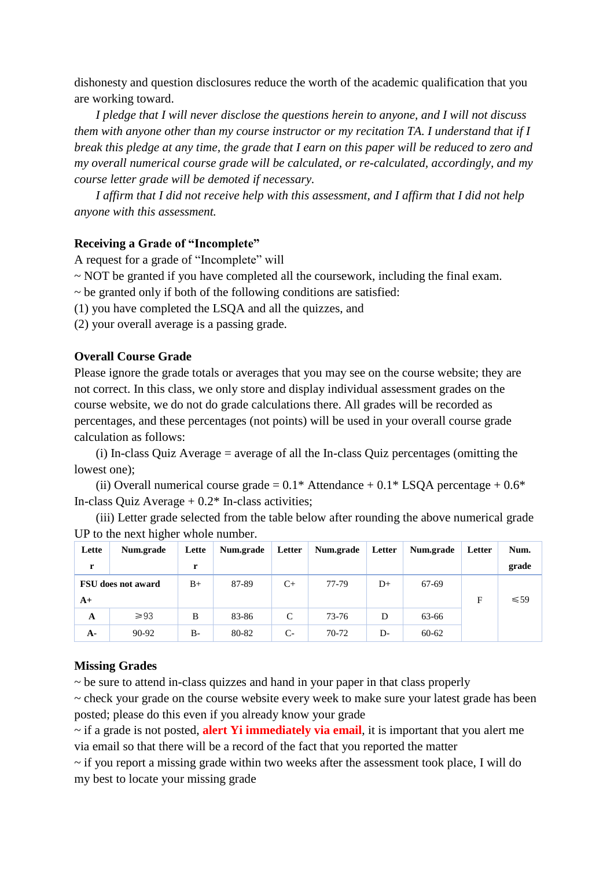dishonesty and question disclosures reduce the worth of the academic qualification that you are working toward.

*I pledge that I will never disclose the questions herein to anyone, and I will not discuss them with anyone other than my course instructor or my recitation TA. I understand that if I break this pledge at any time, the grade that I earn on this paper will be reduced to zero and my overall numerical course grade will be calculated, or re-calculated, accordingly, and my course letter grade will be demoted if necessary.* 

*I affirm that I did not receive help with this assessment, and I affirm that I did not help anyone with this assessment.*

#### **Receiving a Grade of "Incomplete"**

A request for a grade of "Incomplete" will

~ NOT be granted if you have completed all the coursework, including the final exam.

 $\sim$  be granted only if both of the following conditions are satisfied:

(1) you have completed the LSQA and all the quizzes, and

(2) your overall average is a passing grade.

# **Overall Course Grade**

Please ignore the grade totals or averages that you may see on the course website; they are not correct. In this class, we only store and display individual assessment grades on the course website, we do not do grade calculations there. All grades will be recorded as percentages, and these percentages (not points) will be used in your overall course grade calculation as follows:

(i) In-class Quiz Average = average of all the In-class Quiz percentages (omitting the lowest one);

(ii) Overall numerical course grade =  $0.1^*$  Attendance +  $0.1^*$  LSQA percentage +  $0.6^*$ In-class Quiz Average  $+ 0.2*$  In-class activities;

(iii) Letter grade selected from the table below after rounding the above numerical grade UP to the next higher whole number.

| Lette | Num.grade                 | Lette | Num.grade | Letter | Num.grade | Letter | Num.grade | <b>Letter</b> | Num.      |
|-------|---------------------------|-------|-----------|--------|-----------|--------|-----------|---------------|-----------|
| r     |                           | r     |           |        |           |        |           |               | grade     |
|       | <b>FSU</b> does not award | $B+$  | 87-89     | $C+$   | 77-79     | $D+$   | 67-69     |               |           |
| A+    |                           |       |           |        |           |        |           | F             | $\leq 59$ |
| A     | $\geq 93$                 | B     | 83-86     | C      | 73-76     | D      | 63-66     |               |           |
| $A-$  | 90-92                     | $B -$ | 80-82     | $C-$   | $70-72$   | D-     | $60 - 62$ |               |           |

#### **Missing Grades**

 $\sim$  be sure to attend in-class quizzes and hand in your paper in that class properly

 $\sim$  check your grade on the course website every week to make sure your latest grade has been posted; please do this even if you already know your grade

~ if a grade is not posted, **alert Yi immediately via email**, it is important that you alert me via email so that there will be a record of the fact that you reported the matter

 $\sim$  if you report a missing grade within two weeks after the assessment took place, I will do my best to locate your missing grade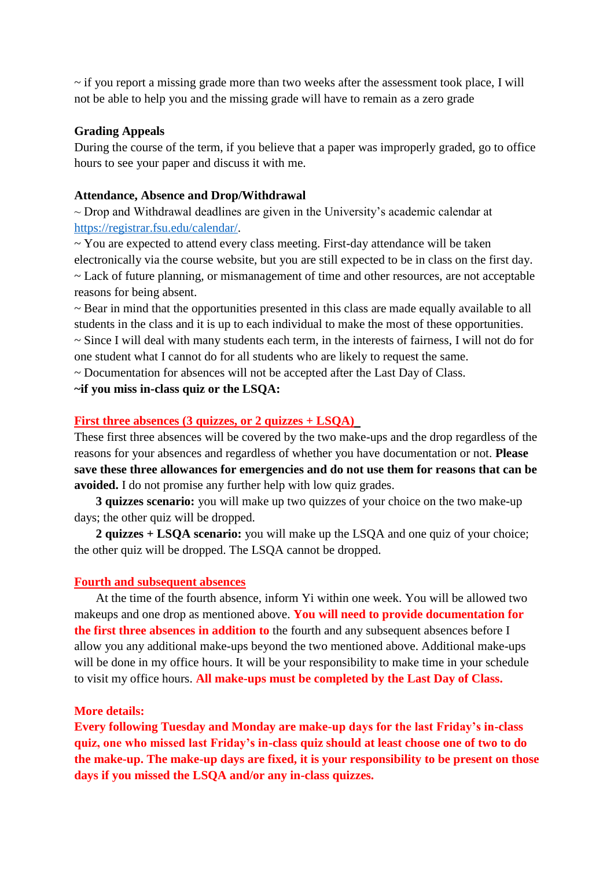$\sim$  if you report a missing grade more than two weeks after the assessment took place, I will not be able to help you and the missing grade will have to remain as a zero grade

#### **Grading Appeals**

During the course of the term, if you believe that a paper was improperly graded, go to office hours to see your paper and discuss it with me.

#### **Attendance, Absence and Drop/Withdrawal**

 $\sim$  Drop and Withdrawal deadlines are given in the University's academic calendar at [https://registrar.fsu.edu/calendar/.](https://registrar.fsu.edu/calendar/)

 $\sim$  You are expected to attend every class meeting. First-day attendance will be taken electronically via the course website, but you are still expected to be in class on the first day. ~ Lack of future planning, or mismanagement of time and other resources, are not acceptable reasons for being absent.

~ Bear in mind that the opportunities presented in this class are made equally available to all students in the class and it is up to each individual to make the most of these opportunities. ~ Since I will deal with many students each term, in the interests of fairness, I will not do for one student what I cannot do for all students who are likely to request the same.

~ Documentation for absences will not be accepted after the Last Day of Class.

#### **~if you miss in-class quiz or the LSQA:**

#### **First three absences (3 quizzes, or 2 quizzes + LSQA)**

These first three absences will be covered by the two make-ups and the drop regardless of the reasons for your absences and regardless of whether you have documentation or not. **Please save these three allowances for emergencies and do not use them for reasons that can be avoided.** I do not promise any further help with low quiz grades.

**3 quizzes scenario:** you will make up two quizzes of your choice on the two make-up days; the other quiz will be dropped.

**2 quizzes + LSQA scenario:** you will make up the LSQA and one quiz of your choice; the other quiz will be dropped. The LSQA cannot be dropped.

#### **Fourth and subsequent absences**

At the time of the fourth absence, inform Yi within one week. You will be allowed two makeups and one drop as mentioned above. **You will need to provide documentation for the first three absences in addition to** the fourth and any subsequent absences before I allow you any additional make-ups beyond the two mentioned above. Additional make-ups will be done in my office hours. It will be your responsibility to make time in your schedule to visit my office hours. **All make-ups must be completed by the Last Day of Class.**

#### **More details:**

**Every following Tuesday and Monday are make-up days for the last Friday's in-class quiz, one who missed last Friday's in-class quiz should at least choose one of two to do the make-up. The make-up days are fixed, it is your responsibility to be present on those days if you missed the LSQA and/or any in-class quizzes.**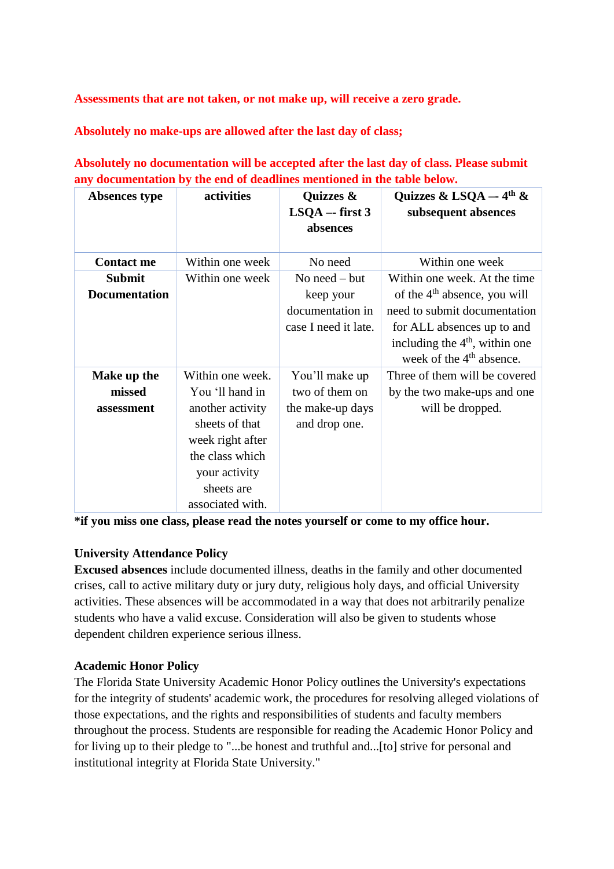**Assessments that are not taken, or not make up, will receive a zero grade.**

**Absolutely no make-ups are allowed after the last day of class;**

**Absolutely no documentation will be accepted after the last day of class. Please submit any documentation by the end of deadlines mentioned in the table below.**

| Absences type                         | activities                                                                                                                                                          | Quizzes &<br>$LSQA - first 3$<br>absences                                | Quizzes & LSQA $-$ 4 <sup>th</sup> &<br>subsequent absences                                                                                                                                              |
|---------------------------------------|---------------------------------------------------------------------------------------------------------------------------------------------------------------------|--------------------------------------------------------------------------|----------------------------------------------------------------------------------------------------------------------------------------------------------------------------------------------------------|
| <b>Contact me</b>                     | Within one week                                                                                                                                                     | No need                                                                  | Within one week                                                                                                                                                                                          |
| <b>Submit</b><br><b>Documentation</b> | Within one week                                                                                                                                                     | No need $-$ but<br>keep your<br>documentation in<br>case I need it late. | Within one week. At the time<br>of the 4 <sup>th</sup> absence, you will<br>need to submit documentation<br>for ALL absences up to and<br>including the $4th$ , within one<br>week of the $4th$ absence. |
| Make up the<br>missed<br>assessment   | Within one week.<br>You 'll hand in<br>another activity<br>sheets of that<br>week right after<br>the class which<br>your activity<br>sheets are<br>associated with. | You'll make up<br>two of them on<br>the make-up days<br>and drop one.    | Three of them will be covered<br>by the two make-ups and one<br>will be dropped.                                                                                                                         |

**\*if you miss one class, please read the notes yourself or come to my office hour.**

# **University Attendance Policy**

**Excused absences** include documented illness, deaths in the family and other documented crises, call to active military duty or jury duty, religious holy days, and official University activities. These absences will be accommodated in a way that does not arbitrarily penalize students who have a valid excuse. Consideration will also be given to students whose dependent children experience serious illness.

# **Academic Honor Policy**

The Florida State University Academic Honor Policy outlines the University's expectations for the integrity of students' academic work, the procedures for resolving alleged violations of those expectations, and the rights and responsibilities of students and faculty members throughout the process. Students are responsible for reading the Academic Honor Policy and for living up to their pledge to "...be honest and truthful and...[to] strive for personal and institutional integrity at Florida State University."